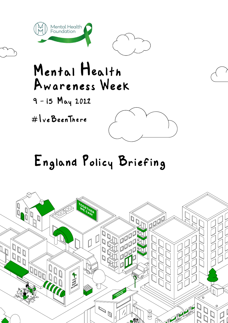

## Mental Health Awareness Week

 $9 - 15$   $May 2022$ 

# Ive Been There



# England Policy Briefing

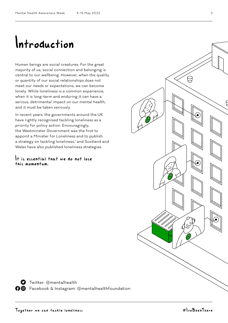### Introduction

Human beings are social creatures. For the great majority of us, social connection and belonging is central to our wellbeing. However, when the quality or quantity of our social relationships does not meet our needs or expectations, we can become lonely. While loneliness is a common experience, when it is long-term and enduring it can have a serious, detrimental impact on our mental health, and it must be taken seriously.

In recent years, the governments around the UK have rightly recognised tackling loneliness as a priority for policy action. Encouragingly, the Westminster Government was the first to appoint a Minister for Loneliness and to publish a strategy on tackling loneliness,<sup>1</sup> and Scotland and Wales have also published loneliness strategies.

It is essential that we do not lose this momentum.



**D** Twitter: @mentalhealth **O** Facebook & Instagram: @mentalhealthfoundation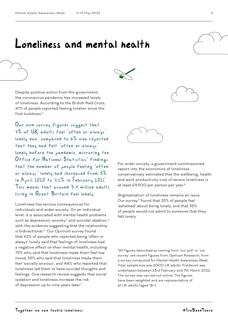### Loneliness and mental health



Despite positive action from the government, the coronavirus pandemic has increased levels of loneliness. According to the British Red Cross, 41% of people reported feeling lonelier since the first lockdown.2

Our own survey figures suggest that 7% of UK adults feel 'often or always' lonely now, compared to 6% who reported that they had felt 'often or always' lonely before the pandemic, mirroring the Office for National Statistics' findings that the number of people feeling 'often or always' lonely had increased from 5% in April 2020 to 7.2% in February 2021. 3This means that around 3.7 million adults living in Great Britain feel lonely.

Loneliness has serious consequences for individuals and wider society. On an individual level, it is associated with mental health problems such as depression, anxiety,<sup>4</sup> and suicidal ideation,<sup>5</sup> with the evidence suggesting that the relationship is bidirectional.<sup>6</sup> Our Opinium survey found that 62% of people who reported being 'often or always' lonely said that feelings of loneliness had a negative effect on their mental health, including 75% who said that loneliness made them feel low mood; 55% who said that loneliness made them feel 'socially anxious'; and 44% who reported that loneliness led them to have suicidal thoughts and feelings. One research review suggests that social isolation and loneliness increase the risk of depression up to nine years later.<sup>7</sup>



For wider society, a government-commissioned report into the economics of loneliness conservatively estimated that the wellbeing, health and work productivity cost of severe loneliness is at least £9,900 per person per year.<sup>8</sup>

Stigmatisation of loneliness remains an issue. Our survey\* found that 25% of people feel 'ashamed' about being lonely, and that 35% of people would not admit to someone that they felt lonely.

\*All figures described as coming from 'our poll' or 'our survey' are recent figures from Opinium Research, from a survey conducted for Mental Health Awareness Week. Total sample size was 6000 UK adults. Fieldwork was undertaken between 23rd February and 7th March 2022. The survey was carried out online. The figures have been weighted and are representative of all UK adults (aged 18+).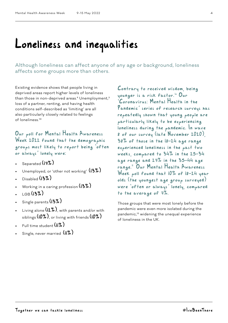### Loneliness and inequalities

Although loneliness can affect anyone of any age or background, loneliness affects some groups more than others.

Existing evidence shows that people living in deprived areas report higher levels of loneliness than those in non-deprived areas.<sup>9</sup> Unemployment,<sup>3</sup> loss of a partner, renting, and having health conditions self-described as 'limiting' are all also particularly closely related to feelings of loneliness.<sup>10</sup>

Our poll for Mental Health Awareness Week 2022 found that the demographic groups most likely to report being 'often or always' lonely were:

- Separated (17%)
- Unemployed, or 'other not working' (13%)
- $D$ isabled  $(13\%)$
- Working in a caring profession  $(13\%)$
- $_{\text{LEB}}$  (13%)
- Single parents (13%)
- Living alone  $(12\%)$ , with parents and/or with siblings  $(10\%)$ , or living with friends  $(10\%)$
- Full time student  $(\mathcal{U}, \mathcal{V})$
- Single, never married (11%)

Contrary to received wisdom, being younger is a risk factor." Our 'Coronavirus: Mental Health in the Pandemic' series of research surveys has repeatedly shown that young people are particularly likely to be experiencing loneliness during the pandemic. In wave 8 of our survey (late November 2020), 38% of those in the 18-24 age range experienced loneliness in the past two weeks, compared to 34% in the 25-34 age range and 27% in the 35-44 age range." Our Mental Health Awareness Week poll found that 10% of 18-24 year olds (the youngest age group surveyed) were 'often or always' lonely, compared to the average of 7%.

Those groups that were most lonely before the pandemic were even more isolated during the pandemic,<sup>12</sup> widening the unequal experience of loneliness in the UK.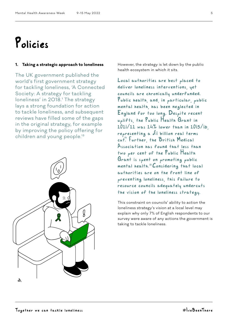## Policies

#### **1. Taking a strategic approach to loneliness**

The UK government published the world's first government strategy for tackling loneliness, 'A Connected Society: A strategy for tackling loneliness' in 2018.<sup>1</sup> The strategy lays a strong foundation for action to tackle loneliness, and subsequent reviews have filled some of the gaps in the original strategy, for example by improving the policy offering for children and young people.<sup>13</sup>



However, the strategy is let down by the public health ecosystem in which it sits.

Local authorities are best placed to deliver loneliness interventions, yet councils are chronically underfunded. Public health, and, in particular, public mental health, has been neglected in England for too long. Despite recent uplifts, the Public Health Grant in 2021/22 was 24% lower than in 2015/16, representing a £1 billion real terms cut<sup>14</sup>. Further, the British Medical Association has found that less than two per cent of the Public Health Grant is spent on promoting public mental health."Considering that local authorities are on the front line of preventing loneliness, this failure to resource councils adequately undercuts the vision of the loneliness strategy.

This constraint on councils' ability to action the loneliness strategy's vision at a local level may explain why only 7% of English respondents to our survey were aware of any actions the government is taking to tackle loneliness.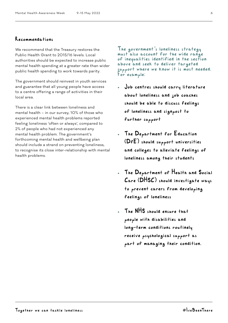#### Recommendations

We recommend that the Treasury restores the Public Health Grant to 2015/16 levels. Local authorities should be expected to increase public mental health spending at a greater rate than wider public health spending to work towards parity.

The government should reinvest in youth services and guarantee that all young people have access to a centre offering a range of activities in their local area.

There is a clear link between loneliness and mental health – in our survey, 10% of those who experienced mental health problems reported feeling loneliness 'often or always', compared to 2% of people who had not experienced any mental health problem. The government's forthcoming mental health and wellbeing plan should include a strand on preventing loneliness, to recognise its close inter-relationship with mental health problems.

The government's loneliness strategy must also account for the wide range of inequalities identified in the section above and seek to deliver targeted support where we know it is most needed. For example:

- **•** Job centres should carry literature about loneliness and job coaches should be able to discuss feelings of loneliness and signpost to further support
- **•** The Department for Education (DfE) should support universities and colleges to alleviate feelings of loneliness among their students
- **•** The Department of Health and Social Care (DHSC) should investigate ways to prevent carers from developing feelings of loneliness
- **•** The NHS should ensure that people with disabilities and long-term conditions routinely receive psychological support as part of managing their condition.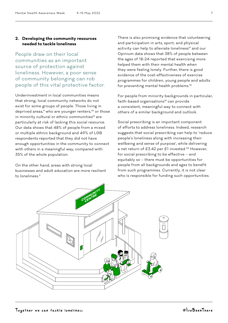#### **2. Developing the community resources needed to tackle loneliness**

People draw on their local communities as an important source of protection against loneliness. However, a poor sense of community belonging can rob people of this vital protective factor.

Underinvestment in local communities means that strong, local community networks do not exist for some groups of people. Those living in deprived areas,<sup>9</sup> who are younger renters,<sup>10</sup> or those in minority cultural or ethnic communities<sup>16</sup> are particularly at risk of lacking this social resource. Our data shows that 48% of people from a mixed or multiple ethnic background and 49% of LGB respondents reported that they did not have enough opportunities in the community to connect with others in a meaningful way, compared with 35% of the whole population.

On the other hand, areas with strong local businesses and adult education are more resilient to loneliness<sup>3</sup>

There is also promising evidence that volunteering and participation in arts, sport, and physical activity can help to alleviate loneliness<sup>17</sup> and our Opinium data shows that 38% of people between the ages of 18-24 reported that exercising more helped them with their mental health when they were feeling lonely. Further, there is good evidence of the cost-effectiveness of exercise programmes for children, young people and adults for preventing mental health problems.<sup>18</sup>

For people from minority backgrounds in particular, faith-based organisations<sup>19</sup> can provide a consistent, meaningful way to connect with others of a similar background and outlook.

Social prescribing is an important component of efforts to address loneliness. Indeed, research suggests that social prescribing can help to 'reduce people's loneliness along with increasing their wellbeing and sense of purpose', while delivering a net return of £3.42 per £1 invested.<sup>20</sup> However, for social prescribing to be effective – and equitably so – there must be opportunities for people from all backgrounds and ages to benefit from such programmes. Currently, it is not clear who is responsible for funding such opportunities.

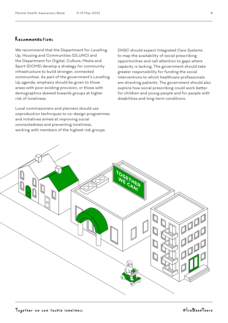#### Recommendations

We recommend that the Department for Levelling Up, Housing and Communities (DLUHC) and the Department for Digital, Culture, Media and Sport (DCMS) develop a strategy for community infrastructure to build stronger, connected communities. As part of the government's Levelling Up agenda, emphasis should be given to those areas with poor existing provision, or those with demographics skewed towards groups at higher risk of loneliness.

Local commissioners and planners should use coproduction techniques to co-design programmes and initiatives aimed at improving social connectedness and preventing loneliness, working with members of the highest risk groups.

DHSC should expect Integrated Care Systems to map the availability of social prescribing opportunities and call attention to gaps where capacity is lacking. The government should take greater responsibility for funding the social interventions to which healthcare professionals are directing patients. The government should also explore how social prescribing could work better for children and young people and for people with disabilities and long-term conditions.

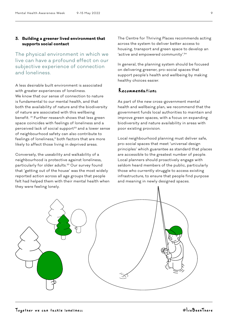#### **3. Building a greener lived environment that supports social contact**

The physical environment in which we live can have a profound effect on our subjective experience of connection and loneliness.

A less desirable built environment is associated with greater experiences of loneliness. We know that our sense of connection to nature is fundamental to our mental health, and that both the availability of nature and the biodiversity of nature are associated with this wellbeing benefit. 21 Further research shows that less green space coincides with feelings of loneliness and a perceived lack of social support<sup>22</sup> and a lower sense of neighbourhood safety can also contribute to feelings of loneliness,<sup>3</sup> both factors that are more likely to affect those living in deprived areas.

Conversely, the useability and walkability of a neighbourhood is protective against loneliness, particularly for older adults.<sup>23</sup> Our survey found that 'getting out of the house' was the most widely reported action across all age groups that people felt had helped them with their mental health when they were feeling lonely.

The Centre for Thriving Places recommends acting across the system to deliver better access to housing, transport and green space to develop an 'active and empowered community'.<sup>24</sup>

In general, the planning system should be focused on delivering greener, pro-social spaces that support people's health and wellbeing by making healthy choices easier.

#### Recommendations

As part of the new cross-government mental health and wellbeing plan, we recommend that the government funds local authorities to maintain and improve green spaces, with a focus on expanding biodiversity and nature availability in areas with poor existing provision.

Local neighbourhood planning must deliver safe, pro-social spaces that meet 'universal design principles' which guarantee as standard that places are accessible to the greatest number of people. Local planners should proactively engage with seldom heard members of the public, particularly those who currently struggle to access existing infrastructure, to ensure that people find purpose and meaning in newly designed spaces.

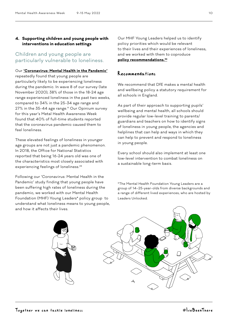#### **4. Supporting children and young people with interventions in education settings**

#### Children and young people are particularly vulnerable to loneliness.

#### Our **['Coronavirus: Mental Health in the Pandemic'](https://www.mentalhealth.org.uk/our-work/research/coronavirus-mental-health-pandemic)**

repeatedly found that young people are particularly likely to be experiencing loneliness during the pandemic. In wave 8 of our survey (late November 2020), 38% of those in the 18-24 age range experienced loneliness in the past two weeks, compared to 34% in the 25-34 age range and 27% in the 35-44 age range.<sup>11</sup> Our Opinium survey for this year's Metal Health Awareness Week found that 40% of full-time students reported that the coronavirus pandemic caused them to feel loneliness.

These elevated feelings of loneliness in younger age groups are not just a pandemic phenomenon. In 2018, the Office for National Statistics reported that being 16-24 years old was one of the characteristics most closely associated with experiencing feelings of loneliness.<sup>25</sup>

Following our 'Coronavirus: Mental Health in the Pandemic' study finding that young people have been suffering high rates of loneliness during the pandemic, we worked with our Mental Health Foundation (MHF) Young Leaders\* policy group to understand what loneliness means to young people, and how it affects their lives.

Our MHF Young Leaders helped us to identify policy priorities which would be relevant to their lives and their experiences of loneliness, and we worked with them to coproduce **[policy recommendations.26](https://www.mentalhealth.org.uk/campaigns/unlock-loneliness/policy-recommendations)**

#### Recommendations

We recommend that DfE makes a mental health and wellbeing policy a statutory requirement for all schools in England.

As part of their approach to supporting pupils' wellbeing and mental health, all schools should provide regular low-level training to parents/ guardians and teachers on how to identify signs of loneliness in young people, the agencies and helplines that can help and ways in which they can help to prevent and respond to loneliness in young people.

Every school should also implement at least one low-level intervention to combat loneliness on a sustainable long-term basis.

\*The Mental Health Foundation Young Leaders are a group of 14–25-year-olds from diverse backgrounds and a range of different lived experiences, who are hosted by Leaders Unlocked.

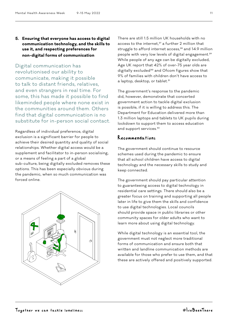#### **5. Ensuring that everyone has access to digital communication technology, and the skills to use it, and respecting preferences for non-digital forms of communication**

Digital communication has revolutionised our ability to communicate, making it possible to talk to distant friends, relatives, and even strangers in real time. For some, this has made it possible to find likeminded people where none exist in the communities around them. Others find that digital communication is no substitute for in-person social contact.

Regardless of individual preference, digital exclusion is a significant barrier for people to achieve their desired quantity and quality of social relationships. Whether digital access would be a supplement and facilitator to in-person socialising, or a means of feeling a part of a global sub-culture, being digitally excluded removes these options. This has been especially obvious during the pandemic, when so much communication was forced online.



There are still 1.5 million UK households with no access to the internet,<sup>27</sup> a further 2 million that struggle to afford internet access,<sup>28</sup> and 14.9 million people with very low levels of digital engagement.<sup>29</sup> While people of any age can be digitally excluded, Age UK report that 42% of over-75 year olds are digitally excluded<sup>30</sup> and Ofcom figures show that 9% of families with children don't have access to a laptop, desktop, or tablet.<sup>31</sup>

The government's response to the pandemic did, however, demonstrate that concerted government action to tackle digital exclusion is possible, if it is willing to address this. The Department for Education delivered more than 1.3 million laptops and tablets to UK pupils during lockdown to support them to access education and support services.<sup>32</sup>

#### Recommendations

The government should continue to resource schemes used during the pandemic to ensure that all school children have access to digital technology and the necessary skills to study and keep connected.

The government should pay particular attention to guaranteeing access to digital technology in residential care settings. There should also be a greater focus on training and supporting all people later in life to give them the skills and confidence to use digital technologies. Local councils should provide space in public libraries or other community spaces for older adults who want to learn more about using digital technology.

While digital technology is an essential tool, the government must not neglect more traditional forms of communication and ensure both that written and landline communication methods are available for those who prefer to use them, and that these are actively offered and positively supported.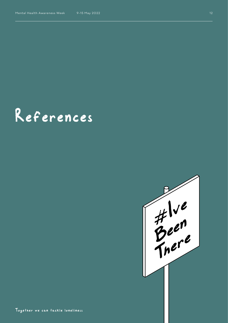# References

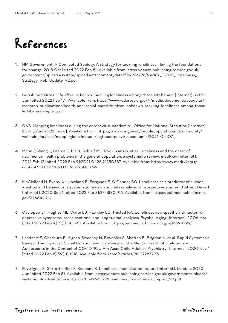### References

- 1. HM Government. A Connected Society: A strategy for tackling loneliness laying the foundations for change. 2018 Oct [cited 2022 Feb 8]; Available from: https://assets.publishing.service.gov.uk/ government/uploads/system/uploads/attachment\_data/file/936725/6.4882\_DCMS\_Loneliness\_ Strategy\_web\_Update\_V2.pdf
- 2. British Red Cross. Life after lockdown: Tackling loneliness among those left behind [Internet]. 2020 Jun [cited 2022 Feb 17]. Available from: https://www.redcross.org.uk/-/media/documents/about-us/ research-publications/health-and-social-care/life-after-lockdown-tackling-loneliness-among-thoseleft-behind-report.pdf
- 3. ONS. Mapping loneliness during the coronavirus pandemic Office for National Statistics [Internet]. 2021 [cited 2022 Feb 8]. Available from: https://www.ons.gov.uk/peoplepopulationandcommunity/ wellbeing/articles/mappinglonelinessduringthecoronaviruspandemic/2021-04-07
- 4. Mann F, Wang J, Pearce E, Ma R, Schleif M, Lloyd-Evans B, et al. Loneliness and the onset of new mental health problems in the general population: a systematic review. medRxiv [Internet]. 2021 Feb 12 [cited 2022 Feb 9];2021.01.26.21250587. Available from: https://www.medrxiv.org/ content/10.1101/2021.01.26.21250587v2
- 5. McClelland H, Evans JJ, Nowland R, Ferguson E, O'Connor RC. Loneliness as a predictor of suicidal ideation and behaviour: a systematic review and meta-analysis of prospective studies. J Affect Disord [Internet]. 2020 Sep 1 [cited 2022 Feb 8];274:880–96. Available from: https://pubmed.ncbi.nlm.nih. gov/32664029/
- 6. Cacioppo JT, Hughes ME, Waite LJ, Hawkley LC, Thisted RA. Loneliness as a specific risk factor for depressive symptoms: cross-sectional and longitudinal analyses. Psychol Aging [Internet]. 2006 Mar [cited 2022 Feb 9];21(1):140–51. Available from: https://pubmed.ncbi.nlm.nih.gov/16594799/
- 7. Loades ME, Chatburn E, Higson-Sweeney N, Reynolds S, Shafran R, Brigden A, et al. Rapid Systematic Review: The Impact of Social Isolation and Loneliness on the Mental Health of Children and Adolescents in the Context of COVID-19. J Am Acad Child Adolesc Psychiatry [Internet]. 2020 Nov 1 [cited 2022 Feb 8];59(11):1218. Available from: /pmc/articles/PMC7267797/
- 8. Peytrignet S, Garforth-Bles S, Keohane K. Loneliness monetisation report [Internet]. London; 2020 Jun [cited 2022 Feb 8]. Available from: https://assets.publishing.service.gov.uk/government/uploads/ system/uploads/attachment\_data/file/963077/Loneliness\_monetisation\_report\_V2.pdf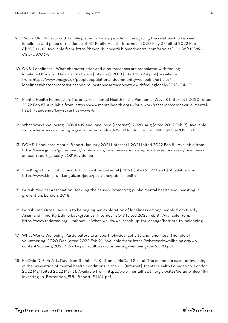- 9. Victor CR, Pikhartova J. Lonely places or lonely people? Investigating the relationship between loneliness and place of residence. BMC Public Health [Internet]. 2020 May 27 [cited 2022 Feb 8];20(1):1–12. Available from: https://bmcpublichealth.biomedcentral.com/articles/10.1186/s12889- 020-08703-8
- 10. ONS. Loneliness What characteristics and circumstances are associated with feeling lonely? - Office for National Statistics [Internet]. 2018 [cited 2022 Apr 4]. Available from: https://www.ons.gov.uk/peoplepopulationandcommunity/wellbeing/articles/ lonelinesswhatcharacteristicsandcircumstancesareassociatedwithfeelinglonely/2018-04-10
- 11. Mental Health Foundation. Coronavirus: Mental Health in the Pandemic, Wave 8 [Internet]. 2020 [cited 2022 Feb 8]. Available from: https://www.mentalhealth.org.uk/our-work/research/coronavirus-mentalhealth-pandemic/key-statistics-wave-8
- 12. What Works Wellbeing. COVID-19 and loneliness [Internet]. 2020 Aug [cited 2022 Feb 9]. Available from: whatworkswellbeing.org/wp-content/uploads/2020/08/COVID-LONELINESS-2020.pdf
- 13. DCMS. Loneliness Annual Report January 2021 [Internet]. 2021 [cited 2022 Feb 8]. Available from: https://www.gov.uk/government/publications/loneliness-annual-report-the-second-year/lonelinessannual-report-january-2021#evidence
- 14. The King's Fund. Public health: Our position [Internet]. 2021 [cited 2022 Feb 8]. Available from: https://www.kingsfund.org.uk/projects/positions/public-health
- 15. British Medical Association. Tackling the causes: Promoting public mental health and investing in prevention. London; 2018.
- 16. British Red Cross. Barriers to belonging: An exploration of loneliness among people from Black, Asian and Minority Ethnic backgrounds [Internet]. 2019 [cited 2022 Feb 8]. Available from: https://www.redcross.org.uk/about-us/what-we-do/we-speak-up-for-change/barriers-to-belonging
- 17. What Works Wellbeing. Participatory arts, sport, physical activity and loneliness: The role of volunteering. 2020 Dec [cited 2022 Feb 9]; Available from: https://whatworkswellbeing.org/wpcontent/uploads/2020/12/art-sport-culture-volunteering-wellbeing-dec2020.pdf
- 18. McDaid D, Park A-L, Davidson G, John A, Knifton L, McDaid S, et al. The economic case for investing in the prevention of mental health conditions in the UK [Internet]. Mental Health Foundation. London; 2022 Mar [cited 2022 Mar 3]. Available from: https://www.mentalhealth.org.uk/sites/default/files/MHF\_ Investing\_In\_Prevention\_FULLReport\_FINAL.pdf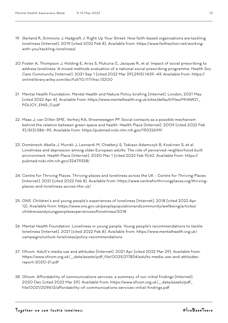- 19. Garland R, Simmons J, Hadgraft J. Right Up Your Street: How faith-based organisations are tackling loneliness [Internet]. 2019 [cited 2022 Feb 8]. Available from: https://www.faithaction.net/workingwith-you/tackling-loneliness/
- 20. Foster A, Thompson J, Holding E, Ariss S, Mukuria C, Jacques R, et al. Impact of social prescribing to address loneliness: A mixed methods evaluation of a national social prescribing programme. Health Soc Care Community [Internet]. 2021 Sep 1 [cited 2022 Mar 29];29(5):1439–49. Available from: https:// onlinelibrary.wiley.com/doi/full/10.1111/hsc.13200
- 21. Mental Health Foundation. Mental Health and Nature Policy briefing [Internet]. London; 2021 May [cited 2022 Apr 4]. Available from: https://www.mentalhealth.org.uk/sites/default/files/MHAW21\_ POLICY\_ENG\_0.pdf
- 22. Maas J, van Dillen SME, Verheij RA, Groenewegen PP. Social contacts as a possible mechanism behind the relation between green space and health. Health Place [Internet]. 2009 [cited 2022 Feb 9];15(2):586–95. Available from: https://pubmed.ncbi.nlm.nih.gov/19022699/
- 23. Domènech-Abella J, Mundó J, Leonardi M, Chatterji S, Tobiasz-Adamczyk B, Koskinen S, et al. Loneliness and depression among older European adults: The role of perceived neighborhood built environment. Health Place [Internet]. 2020 Mar 1 [cited 2022 Feb 9];62. Available from: https:// pubmed.ncbi.nlm.nih.gov/32479358/
- 24. Centre for Thriving Places. Thriving places and loneliness across the UK Centre for Thriving Places [Internet]. 2021 [cited 2022 Feb 8]. Available from: https://www.centreforthrivingplaces.org/thrivingplaces-and-loneliness-across-the-uk/
- 25. ONS. Children's and young people's experiences of loneliness [Internet]. 2018 [cited 2022 Apr 12]. Available from: https://www.ons.gov.uk/peoplepopulationandcommunity/wellbeing/articles/ childrensandyoungpeoplesexperiencesofloneliness/2018
- 26. Mental Health Foundation. Loneliness in young people: Young people's recommendations to tackle loneliness [Internet]. 2021 [cited 2022 Feb 8]. Available from: https://www.mentalhealth.org.uk/ campaigns/unlock-loneliness/policy-recommendations
- 27. Ofcom. Adult's media use and attitudes [Internet]. 2021 Apr [cited 2022 Mar 29]. Available from: https://www.ofcom.org.uk/\_\_data/assets/pdf\_file/0025/217834/adults-media-use-and-attitudesreport-2020-21.pdf
- 28. Ofcom. Affordability of communications services: a summary of our initial findings [Internet]. 2020 Dec [cited 2022 Mar 29]. Available from: https://www.ofcom.org.uk/\_\_data/assets/pdf\_ file/0021/209613/affordability-of-communications-services-initial-findings.pdf